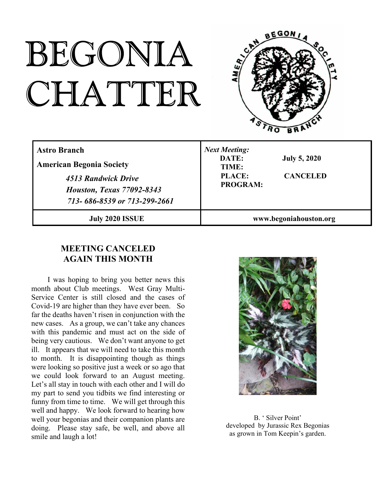# BEGONIA CHATTER



| <b>Astro Branch</b><br><b>American Begonia Society</b><br>4513 Randwick Drive<br><b>Houston, Texas 77092-8343</b><br>713-686-8539 or 713-299-2661 | <b>Next Meeting:</b><br>DATE:<br><b>July 5, 2020</b><br>TIME:<br><b>PLACE:</b><br><b>CANCELED</b><br><b>PROGRAM:</b> |
|---------------------------------------------------------------------------------------------------------------------------------------------------|----------------------------------------------------------------------------------------------------------------------|
| <b>July 2020 ISSUE</b>                                                                                                                            | www.begoniahouston.org                                                                                               |

## **MEETING CANCELED AGAIN THIS MONTH**

I was hoping to bring you better news this month about Club meetings. West Gray Multi-Service Center is still closed and the cases of Covid-19 are higher than they have ever been. So far the deaths haven't risen in conjunction with the new cases. As a group, we can't take any chances with this pandemic and must act on the side of being very cautious. We don't want anyone to get ill. It appears that we will need to take this month to month. It is disappointing though as things were looking so positive just a week or so ago that we could look forward to an August meeting. Let's all stay in touch with each other and I will do my part to send you tidbits we find interesting or funny from time to time. We will get through this well and happy. We look forward to hearing how well your begonias and their companion plants are doing. Please stay safe, be well, and above all smile and laugh a lot!



B. ' Silver Point' developed by Jurassic Rex Begonias as grown in Tom Keepin's garden.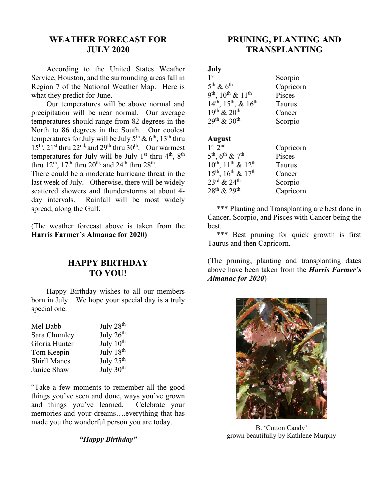#### **WEATHER FORECAST FOR JULY 2020**

According to the United States Weather Service, Houston, and the surrounding areas fall in Region 7 of the National Weather Map. Here is what they predict for June.

Our temperatures will be above normal and precipitation will be near normal. Our average temperatures should range from 82 degrees in the North to 86 degrees in the South. Our coolest temperatures for July will be July  $5^{th}$  &  $6^{th}$ ,  $13^{th}$  thru  $15^{th}$ ,  $21^{st}$  thru  $22^{nd}$ , and  $29^{th}$  thru  $30^{th}$ . Our warmest temperatures for July will be July  $1<sup>st</sup>$  thru  $4<sup>th</sup>$ ,  $8<sup>th</sup>$ thru  $12^{th}$ ,  $17^{th}$  thru  $20^{th}$ , and  $24^{th}$  thru  $28^{th}$ .

There could be a moderate hurricane threat in the last week of July. Otherwise, there will be widely scattered showers and thunderstorms at about 4 day intervals. Rainfall will be most widely spread, along the Gulf.

(The weather forecast above is taken from the **Harris Farmer's Almanac for 2020)**

 $\mathcal{L}_\mathcal{L}$  , which is a set of the set of the set of the set of the set of the set of the set of the set of the set of the set of the set of the set of the set of the set of the set of the set of the set of the set of

#### **HAPPY BIRTHDAY TO YOU!**

Happy Birthday wishes to all our members born in July. We hope your special day is a truly special one.

| Mel Babb            | July 28 <sup>th</sup> |
|---------------------|-----------------------|
| Sara Chumley        | July 26 <sup>th</sup> |
| Gloria Hunter       | July 10 <sup>th</sup> |
| Tom Keepin          | July 18 <sup>th</sup> |
| <b>Shirll Manes</b> | July $25^{\text{th}}$ |
| Janice Shaw         | July 30 <sup>th</sup> |

"Take a few moments to remember all the good things you've seen and done, ways you've grown and things you've learned. Celebrate your memories and your dreams….everything that has made you the wonderful person you are today.

*"Happy Birthday"*

### **PRUNING, PLANTING AND TRANSPLANTING**

#### **July**

| 1 <sup>st</sup>                     | Scorpio   |
|-------------------------------------|-----------|
| $5^{\text{th}}$ & $6^{\text{th}}$   | Capricorn |
| $9^{th}$ , $10^{th}$ & $11^{th}$    | Pisces    |
| $14^{th}$ , $15^{th}$ , & $16^{th}$ | Taurus    |
| $19^{th}$ & $20^{th}$               | Cancer    |
| $29^{th}$ & $30^{th}$               | Scorpio   |
|                                     |           |

#### **August**

| $1st$ 2nd                                           | Capricorn |
|-----------------------------------------------------|-----------|
| $5^{\text{th}}$ , $6^{\text{th}}$ & $7^{\text{th}}$ | Pisces    |
| $10^{th}$ , $11^{th}$ & $12^{th}$                   | Taurus    |
| $15^{th}$ , $16^{th}$ & $17^{th}$                   | Cancer    |
| $23^{\text{rd}}$ & $24^{\text{th}}$                 | Scorpio   |
| $28^{th}$ & $29^{th}$                               | Capricorn |

\*\*\* Planting and Transplanting are best done in Cancer, Scorpio, and Pisces with Cancer being the best.

\*\*\* Best pruning for quick growth is first Taurus and then Capricorn.

(The pruning, planting and transplanting dates above have been taken from the *Harris Farmer's Almanac for 2020*)



B. 'Cotton Candy' grown beautifully by Kathlene Murphy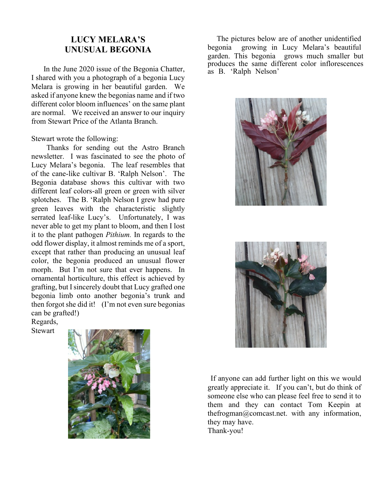### **LUCY MELARA'S UNUSUAL BEGONIA**

In the June 2020 issue of the Begonia Chatter, I shared with you a photograph of a begonia Lucy Melara is growing in her beautiful garden. We asked if anyone knew the begonias name and if two different color bloom influences' on the same plant are normal. We received an answer to our inquiry from Stewart Price of the Atlanta Branch.

Stewart wrote the following:

Thanks for sending out the Astro Branch newsletter. I was fascinated to see the photo of Lucy Melara's begonia. The leaf resembles that of the cane-like cultivar B. 'Ralph Nelson'. The Begonia database shows this cultivar with two different leaf colors-all green or green with silver splotches. The B. 'Ralph Nelson I grew had pure green leaves with the characteristic slightly serrated leaf-like Lucy's. Unfortunately, I was never able to get my plant to bloom, and then I lost it to the plant pathogen *Pithium.* In regards to the odd flower display, it almost reminds me of a sport, except that rather than producing an unusual leaf color, the begonia produced an unusual flower morph. But I'm not sure that ever happens. In ornamental horticulture, this effect is achieved by grafting, but I sincerely doubt that Lucy grafted one begonia limb onto another begonia's trunk and then forgot she did it! (I'm not even sure begonias can be grafted!)

Regards, Stewart



The pictures below are of another unidentified begonia growing in Lucy Melara's beautiful garden. This begonia grows much smaller but produces the same different color inflorescences as B. 'Ralph Nelson'





If anyone can add further light on this we would greatly appreciate it. If you can't, but do think of someone else who can please feel free to send it to them and they can contact Tom Keepin at thefrogman@comcast.net. with any information, they may have. Thank-you!